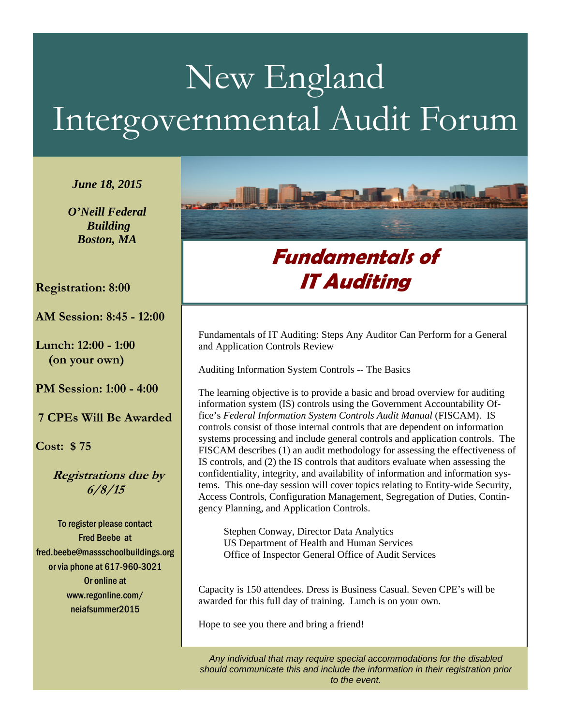# New England Intergovernmental Audit Forum

*June 18, 2015* 

*O'Neill Federal Building Boston, MA* 

#### **Registration: 8:00**

**AM Session: 8:45 - 12:00** 

 $\overline{\phantom{a}}$ 

**Lunch: 12:00 - 1:00 (on your own)** 

**PM Session: 1:00 - 4:00** 

**7 CPEs Will Be Awarded** 

**Cost: \$ 75** 

 **Registrations due by 6/8/15** 

To register please contact Fred Beebe at fred.beebe@massschoolbuildings.org or via phone at 617-960-3021 Or online at www.regonline.com/ neiafsummer2015



## **Fundamentals of IT Auditing**

Fundamentals of IT Auditing: Steps Any Auditor Can Perform for a General and Application Controls Review

Auditing Information System Controls -- The Basics

The learning objective is to provide a basic and broad overview for auditing information system (IS) controls using the Government Accountability Office's *Federal Information System Controls Audit Manual* (FISCAM). IS controls consist of those internal controls that are dependent on information systems processing and include general controls and application controls. The FISCAM describes (1) an audit methodology for assessing the effectiveness of IS controls, and (2) the IS controls that auditors evaluate when assessing the confidentiality, integrity, and availability of information and information systems. This one-day session will cover topics relating to Entity-wide Security, Access Controls, Configuration Management, Segregation of Duties, Contingency Planning, and Application Controls.

 Stephen Conway, Director Data Analytics US Department of Health and Human Services Office of Inspector General Office of Audit Services

Capacity is 150 attendees. Dress is Business Casual. Seven CPE's will be awarded for this full day of training. Lunch is on your own.

Hope to see you there and bring a friend!

*Any individual that may require special accommodations for the disabled should communicate this and include the information in their registration prior to the event.*